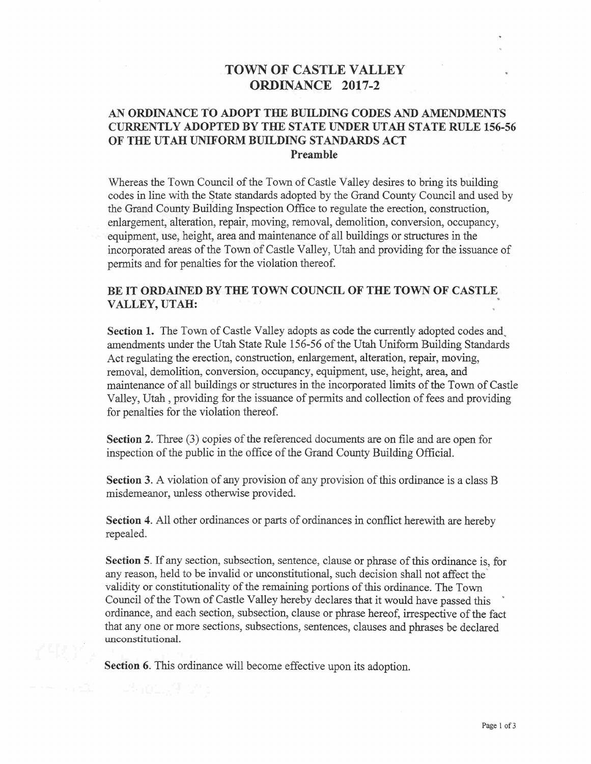## TOWN OF CASTLE VALLEY ORDINANCE 2017-2

## AN ORDINANCE TO ADOPT THE BUILDING CODES AND AMENDMENTS CURRENTLY ADOPTED BY THE STATE UNDER UTAH STATE RULE 156-56 OF THE UTAH UNIFORM BUILDING STANDARDS ACT Preamble

Whereas the Town Council of the Town of Castle Valley desires to bring its building codes in line with the State standards adopted by the Grand County Council and used by the Grand County Building Inspection Office to regulate the erection, construction, enlargement, alteration, repair, moving, removal, demolition, conversion, occupancy, equipment, use, height, area and maintenance of all buildings or structures in the incorporated areas of the Town of Castle Valley, Utah and providing for the issuance of permits and for penalties for the violation thereof.

## BE IT ORDAINED BY THE TOWN COUNCIL OF THE TOWN OF CASTLE VALLEY, UTAH:

Section I. The Town of Castle Valley adopts as code the currently adopted codes and, amendments under the Utah State Rule 156-56 of the Utah Uniform Building Standards Act regulating the erection, construction, enlargement, alteration, repair, moving, removal, demolition, conversion, occupancy, equipment, use, height, area, and maintenance of all buildings or structures in the incorporated limits of the Town of Castle Valley, Utah, providing for the issuance of permits and collection of fees and providing for penalties for the violation thereof.

Section 2. Three (3) copies of the referenced documents are on file and are open for inspection of the public in the office of the Grand County Building Official.

Section 3. A violation of any provision of any provision of this ordinance is a class B misdemeanor, unless otherwise provided.

Section 4. All other ordinances or parts of ordinances in conflict herewith are hereby repealed.

Section 5. If any section, subsection, sentence, clause or phrase of this ordinance is, for any reason, held to be invalid or unconstitutional, such decision shall not affect the validity or constitutionality of the remaining portions of this ordinance. The Town Council of the Town of Castle Valley hereby declares that it would have passed this ' ordinance, and each section, subsection, clause or phrase hereof, irrespective of the fact that any one or more sections, subsections, sentences, clauses and phrases be declared unconstitutional.

Section 6. This ordinance will become effective upon its adoption.